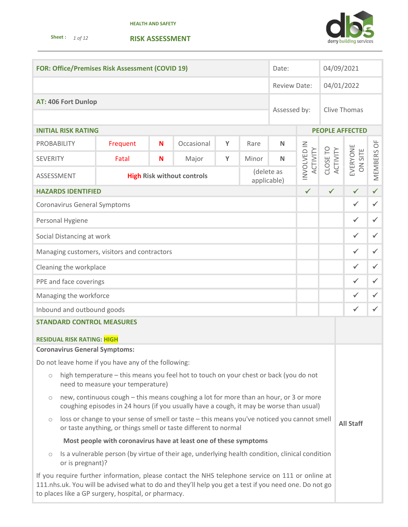**Sheet :** *1 of 12* 





| <b>FOR: Office/Premises Risk Assessment (COVID 19)</b>                                                                                |                                                                                                                                                                                    |                                                                                                                                                                                                                                                                  |  | Date:        |  |              | 04/09/2021           |                            |              |                        |              |
|---------------------------------------------------------------------------------------------------------------------------------------|------------------------------------------------------------------------------------------------------------------------------------------------------------------------------------|------------------------------------------------------------------------------------------------------------------------------------------------------------------------------------------------------------------------------------------------------------------|--|--------------|--|--------------|----------------------|----------------------------|--------------|------------------------|--------------|
|                                                                                                                                       |                                                                                                                                                                                    |                                                                                                                                                                                                                                                                  |  | Review Date: |  |              | 04/01/2022           |                            |              |                        |              |
|                                                                                                                                       | AT: 406 Fort Dunlop                                                                                                                                                                |                                                                                                                                                                                                                                                                  |  |              |  |              | Assessed by:         |                            |              | <b>Clive Thomas</b>    |              |
|                                                                                                                                       |                                                                                                                                                                                    |                                                                                                                                                                                                                                                                  |  |              |  |              |                      |                            |              |                        |              |
|                                                                                                                                       | <b>INITIAL RISK RATING</b>                                                                                                                                                         |                                                                                                                                                                                                                                                                  |  |              |  |              |                      |                            |              | <b>PEOPLE AFFECTED</b> |              |
| <b>PROBABILITY</b>                                                                                                                    |                                                                                                                                                                                    | Occasional<br>Frequent<br>N<br>Y<br>Rare<br>N                                                                                                                                                                                                                    |  |              |  |              |                      |                            |              |                        |              |
| <b>SEVERITY</b>                                                                                                                       | Major<br>Fatal<br>N<br>Y<br>Minor<br>N                                                                                                                                             |                                                                                                                                                                                                                                                                  |  |              |  | ACTIVITY     | CLOSE TO<br>ACTIVITY | EVERYONE<br><b>ON SITE</b> | MEMBERS OF   |                        |              |
|                                                                                                                                       | INVOLVED IN<br>(delete as<br>ASSESSMENT<br><b>High Risk without controls</b><br>applicable)                                                                                        |                                                                                                                                                                                                                                                                  |  |              |  |              |                      |                            |              |                        |              |
|                                                                                                                                       | <b>HAZARDS IDENTIFIED</b>                                                                                                                                                          |                                                                                                                                                                                                                                                                  |  |              |  |              |                      | $\checkmark$               | $\checkmark$ | $\checkmark$           | $\checkmark$ |
|                                                                                                                                       | <b>Coronavirus General Symptoms</b>                                                                                                                                                |                                                                                                                                                                                                                                                                  |  |              |  |              |                      |                            |              | $\checkmark$           | $\checkmark$ |
|                                                                                                                                       | Personal Hygiene                                                                                                                                                                   |                                                                                                                                                                                                                                                                  |  |              |  |              |                      |                            |              | $\checkmark$           | $\checkmark$ |
|                                                                                                                                       | Social Distancing at work                                                                                                                                                          |                                                                                                                                                                                                                                                                  |  |              |  |              |                      |                            |              | $\checkmark$           | $\checkmark$ |
| Managing customers, visitors and contractors                                                                                          |                                                                                                                                                                                    |                                                                                                                                                                                                                                                                  |  |              |  |              | ✓                    | $\checkmark$               |              |                        |              |
| Cleaning the workplace                                                                                                                |                                                                                                                                                                                    |                                                                                                                                                                                                                                                                  |  |              |  |              | ✓                    | $\checkmark$               |              |                        |              |
| PPE and face coverings                                                                                                                |                                                                                                                                                                                    |                                                                                                                                                                                                                                                                  |  |              |  | $\checkmark$ | $\checkmark$         |                            |              |                        |              |
| Managing the workforce                                                                                                                |                                                                                                                                                                                    |                                                                                                                                                                                                                                                                  |  |              |  | $\checkmark$ | $\checkmark$         |                            |              |                        |              |
| Inbound and outbound goods                                                                                                            |                                                                                                                                                                                    |                                                                                                                                                                                                                                                                  |  |              |  |              | $\checkmark$         | $\checkmark$               |              |                        |              |
| <b>STANDARD CONTROL MEASURES</b>                                                                                                      |                                                                                                                                                                                    |                                                                                                                                                                                                                                                                  |  |              |  |              |                      |                            |              |                        |              |
| <b>RESIDUAL RISK RATING: HIGH</b>                                                                                                     |                                                                                                                                                                                    |                                                                                                                                                                                                                                                                  |  |              |  |              |                      |                            |              |                        |              |
| <b>Coronavirus General Symptoms:</b>                                                                                                  |                                                                                                                                                                                    |                                                                                                                                                                                                                                                                  |  |              |  |              |                      |                            |              |                        |              |
| Do not leave home if you have any of the following:                                                                                   |                                                                                                                                                                                    |                                                                                                                                                                                                                                                                  |  |              |  |              |                      |                            |              |                        |              |
| high temperature - this means you feel hot to touch on your chest or back (you do not<br>$\circ$<br>need to measure your temperature) |                                                                                                                                                                                    |                                                                                                                                                                                                                                                                  |  |              |  |              |                      |                            |              |                        |              |
| $\circ$                                                                                                                               | new, continuous cough - this means coughing a lot for more than an hour, or 3 or more<br>coughing episodes in 24 hours (if you usually have a cough, it may be worse than usual)   |                                                                                                                                                                                                                                                                  |  |              |  |              |                      |                            |              |                        |              |
| $\bigcirc$                                                                                                                            | loss or change to your sense of smell or taste - this means you've noticed you cannot smell<br><b>All Staff</b><br>or taste anything, or things smell or taste different to normal |                                                                                                                                                                                                                                                                  |  |              |  |              |                      |                            |              |                        |              |
|                                                                                                                                       |                                                                                                                                                                                    | Most people with coronavirus have at least one of these symptoms                                                                                                                                                                                                 |  |              |  |              |                      |                            |              |                        |              |
| $\bigcirc$                                                                                                                            | or is pregnant)?                                                                                                                                                                   | Is a vulnerable person (by virtue of their age, underlying health condition, clinical condition                                                                                                                                                                  |  |              |  |              |                      |                            |              |                        |              |
|                                                                                                                                       |                                                                                                                                                                                    | If you require further information, please contact the NHS telephone service on 111 or online at<br>111.nhs.uk. You will be advised what to do and they'll help you get a test if you need one. Do not go<br>to places like a GP surgery, hospital, or pharmacy. |  |              |  |              |                      |                            |              |                        |              |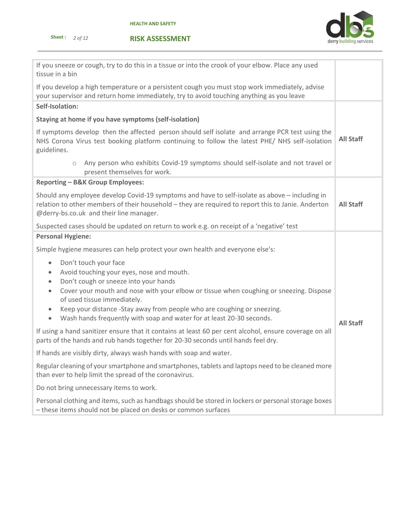



| If you sneeze or cough, try to do this in a tissue or into the crook of your elbow. Place any used<br>tissue in a bin                                                                                                                                                                                                                                                                                                                                                  |                  |  |  |  |
|------------------------------------------------------------------------------------------------------------------------------------------------------------------------------------------------------------------------------------------------------------------------------------------------------------------------------------------------------------------------------------------------------------------------------------------------------------------------|------------------|--|--|--|
| If you develop a high temperature or a persistent cough you must stop work immediately, advise<br>your supervisor and return home immediately, try to avoid touching anything as you leave                                                                                                                                                                                                                                                                             |                  |  |  |  |
| Self-Isolation:                                                                                                                                                                                                                                                                                                                                                                                                                                                        |                  |  |  |  |
| Staying at home if you have symptoms (self-isolation)                                                                                                                                                                                                                                                                                                                                                                                                                  |                  |  |  |  |
| If symptoms develop then the affected person should self isolate and arrange PCR test using the<br>NHS Corona Virus test booking platform continuing to follow the latest PHE/ NHS self-isolation<br>guidelines.                                                                                                                                                                                                                                                       | <b>All Staff</b> |  |  |  |
| Any person who exhibits Covid-19 symptoms should self-isolate and not travel or<br>$\bigcirc$<br>present themselves for work.                                                                                                                                                                                                                                                                                                                                          |                  |  |  |  |
| <b>Reporting - B&amp;K Group Employees:</b>                                                                                                                                                                                                                                                                                                                                                                                                                            |                  |  |  |  |
| Should any employee develop Covid-19 symptoms and have to self-isolate as above - including in<br>relation to other members of their household - they are required to report this to Janie. Anderton<br>@derry-bs.co.uk and their line manager.                                                                                                                                                                                                                        | <b>All Staff</b> |  |  |  |
| Suspected cases should be updated on return to work e.g. on receipt of a 'negative' test                                                                                                                                                                                                                                                                                                                                                                               |                  |  |  |  |
| <b>Personal Hygiene:</b>                                                                                                                                                                                                                                                                                                                                                                                                                                               |                  |  |  |  |
| Simple hygiene measures can help protect your own health and everyone else's:                                                                                                                                                                                                                                                                                                                                                                                          |                  |  |  |  |
| Don't touch your face<br>$\bullet$<br>Avoid touching your eyes, nose and mouth.<br>$\bullet$<br>Don't cough or sneeze into your hands<br>$\bullet$<br>Cover your mouth and nose with your elbow or tissue when coughing or sneezing. Dispose<br>$\bullet$<br>of used tissue immediately.<br>Keep your distance -Stay away from people who are coughing or sneezing.<br>$\bullet$<br>Wash hands frequently with soap and water for at least 20-30 seconds.<br>$\bullet$ | <b>All Staff</b> |  |  |  |
| If using a hand sanitizer ensure that it contains at least 60 per cent alcohol, ensure coverage on all<br>parts of the hands and rub hands together for 20-30 seconds until hands feel dry.                                                                                                                                                                                                                                                                            |                  |  |  |  |
| If hands are visibly dirty, always wash hands with soap and water.                                                                                                                                                                                                                                                                                                                                                                                                     |                  |  |  |  |
| Regular cleaning of your smartphone and smartphones, tablets and laptops need to be cleaned more<br>than ever to help limit the spread of the coronavirus.                                                                                                                                                                                                                                                                                                             |                  |  |  |  |
| Do not bring unnecessary items to work.                                                                                                                                                                                                                                                                                                                                                                                                                                |                  |  |  |  |
| Personal clothing and items, such as handbags should be stored in lockers or personal storage boxes<br>- these items should not be placed on desks or common surfaces                                                                                                                                                                                                                                                                                                  |                  |  |  |  |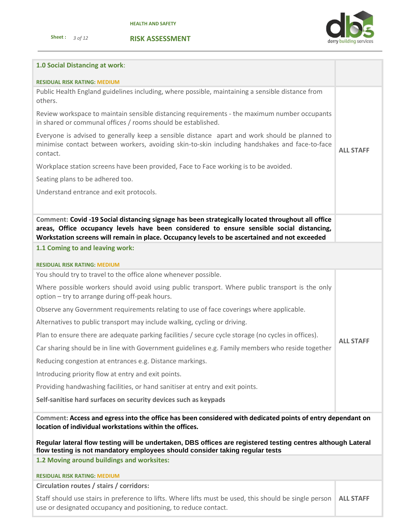



| 1.0 Social Distancing at work:                                                                                                                                                                                                                                                                  |                  |
|-------------------------------------------------------------------------------------------------------------------------------------------------------------------------------------------------------------------------------------------------------------------------------------------------|------------------|
| <b>RESIDUAL RISK RATING: MEDIUM</b>                                                                                                                                                                                                                                                             |                  |
| Public Health England guidelines including, where possible, maintaining a sensible distance from<br>others.                                                                                                                                                                                     |                  |
| Review workspace to maintain sensible distancing requirements - the maximum number occupants<br>in shared or communal offices / rooms should be established.                                                                                                                                    |                  |
| Everyone is advised to generally keep a sensible distance apart and work should be planned to<br>minimise contact between workers, avoiding skin-to-skin including handshakes and face-to-face<br>contact.                                                                                      | <b>ALL STAFF</b> |
| Workplace station screens have been provided, Face to Face working is to be avoided.                                                                                                                                                                                                            |                  |
| Seating plans to be adhered too.                                                                                                                                                                                                                                                                |                  |
| Understand entrance and exit protocols.                                                                                                                                                                                                                                                         |                  |
|                                                                                                                                                                                                                                                                                                 |                  |
| Comment: Covid -19 Social distancing signage has been strategically located throughout all office<br>areas, Office occupancy levels have been considered to ensure sensible social distancing,<br>Workstation screens will remain in place. Occupancy levels to be ascertained and not exceeded |                  |
| 1.1 Coming to and leaving work:                                                                                                                                                                                                                                                                 |                  |
| <b>RESIDUAL RISK RATING: MEDIUM</b>                                                                                                                                                                                                                                                             |                  |
| You should try to travel to the office alone whenever possible.                                                                                                                                                                                                                                 |                  |
| Where possible workers should avoid using public transport. Where public transport is the only<br>option - try to arrange during off-peak hours.                                                                                                                                                |                  |
| Observe any Government requirements relating to use of face coverings where applicable.                                                                                                                                                                                                         |                  |
| Alternatives to public transport may include walking, cycling or driving.                                                                                                                                                                                                                       |                  |
| Plan to ensure there are adequate parking facilities / secure cycle storage (no cycles in offices).                                                                                                                                                                                             | <b>ALL STAFF</b> |
| Car sharing should be in line with Government guidelines e.g. Family members who reside together                                                                                                                                                                                                |                  |
| Reducing congestion at entrances e.g. Distance markings.                                                                                                                                                                                                                                        |                  |
| Introducing priority flow at entry and exit points.                                                                                                                                                                                                                                             |                  |
| Providing handwashing facilities, or hand sanitiser at entry and exit points.                                                                                                                                                                                                                   |                  |
| Self-sanitise hard surfaces on security devices such as keypads                                                                                                                                                                                                                                 |                  |
| Comment: Access and egress into the office has been considered with dedicated points of entry dependant on<br>location of individual workstations within the offices.<br>Regular lateral flow testing will be undertaken, DBS offices are registered testing centres although Lateral           |                  |
| flow testing is not mandatory employees should consider taking regular tests<br>1.2 Moving around buildings and worksites:                                                                                                                                                                      |                  |
|                                                                                                                                                                                                                                                                                                 |                  |
| <b>RESIDUAL RISK RATING: MEDIUM</b><br>Circulation routes / stairs / corridors:                                                                                                                                                                                                                 |                  |
| Staff should use stairs in preference to lifts. Where lifts must be used, this should be single person                                                                                                                                                                                          | <b>ALL STAFF</b> |
| use or designated occupancy and positioning, to reduce contact.                                                                                                                                                                                                                                 |                  |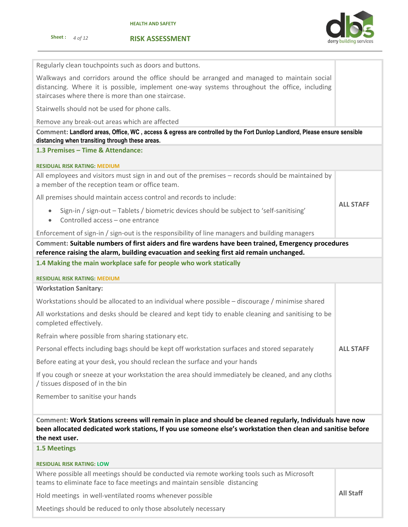

**ALL STAFF**

Regularly clean touchpoints such as doors and buttons.

Walkways and corridors around the office should be arranged and managed to maintain social distancing. Where it is possible, implement one-way systems throughout the office, including staircases where there is more than one staircase.

Stairwells should not be used for phone calls.

Remove any break-out areas which are affected

**Comment: Landlord areas, Office, WC , access & egress are controlled by the Fort Dunlop Landlord, Please ensure sensible distancing when transiting through these areas.**

# **1.3 Premises – Time & Attendance:**

### **RESIDUAL RISK RATING: MEDIUM**

All employees and visitors must sign in and out of the premises – records should be maintained by a member of the reception team or office team.

All premises should maintain access control and records to include:

- Sign-in / sign-out Tablets / biometric devices should be subject to 'self-sanitising'
- Controlled access one entrance

Enforcement of sign-in / sign-out is the responsibility of line managers and building managers

# **Comment: Suitable numbers of first aiders and fire wardens have been trained, Emergency procedures reference raising the alarm, building evacuation and seeking first aid remain unchanged.**

**1.4 Making the main workplace safe for people who work statically**

### **RESIDUAL RISK RATING: MEDIUM**

**Workstation Sanitary:**

Workstations should be allocated to an individual where possible – discourage / minimise shared

All workstations and desks should be cleared and kept tidy to enable cleaning and sanitising to be completed effectively.

Refrain where possible from sharing stationary etc.

Personal effects including bags should be kept off workstation surfaces and stored separately **ALL STAFF**

Before eating at your desk, you should reclean the surface and your hands

If you cough or sneeze at your workstation the area should immediately be cleaned, and any cloths / tissues disposed of in the bin

Remember to sanitise your hands

**Comment: Work Stations screens will remain in place and should be cleaned regularly, Individuals have now been allocated dedicated work stations, If you use someone else's workstation then clean and sanitise before the next user.**

# **1.5 Meetings**

### **RESIDUAL RISK RATING: LOW**

Where possible all meetings should be conducted via remote working tools such as Microsoft teams to eliminate face to face meetings and maintain sensible distancing

Hold meetings in well-ventilated rooms whenever possible

**All Staff**

Meetings should be reduced to only those absolutely necessary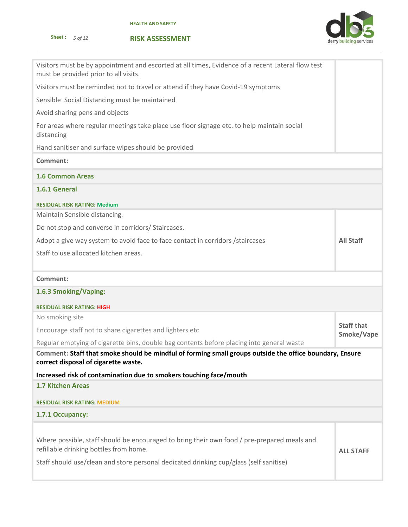



| Visitors must be by appointment and escorted at all times, Evidence of a recent Lateral flow test<br>must be provided prior to all visits.                                                                                      |                   |
|---------------------------------------------------------------------------------------------------------------------------------------------------------------------------------------------------------------------------------|-------------------|
| Visitors must be reminded not to travel or attend if they have Covid-19 symptoms                                                                                                                                                |                   |
| Sensible Social Distancing must be maintained                                                                                                                                                                                   |                   |
| Avoid sharing pens and objects                                                                                                                                                                                                  |                   |
| For areas where regular meetings take place use floor signage etc. to help maintain social<br>distancing                                                                                                                        |                   |
| Hand sanitiser and surface wipes should be provided                                                                                                                                                                             |                   |
| <b>Comment:</b>                                                                                                                                                                                                                 |                   |
| <b>1.6 Common Areas</b>                                                                                                                                                                                                         |                   |
| 1.6.1 General                                                                                                                                                                                                                   |                   |
| <b>RESIDUAL RISK RATING: Medium</b>                                                                                                                                                                                             |                   |
| Maintain Sensible distancing.                                                                                                                                                                                                   |                   |
| Do not stop and converse in corridors/ Staircases.                                                                                                                                                                              |                   |
| Adopt a give way system to avoid face to face contact in corridors / staircases                                                                                                                                                 | <b>All Staff</b>  |
| Staff to use allocated kitchen areas.                                                                                                                                                                                           |                   |
|                                                                                                                                                                                                                                 |                   |
| Comment:                                                                                                                                                                                                                        |                   |
| 1.6.3 Smoking/Vaping:                                                                                                                                                                                                           |                   |
| <b>RESIDUAL RISK RATING: HIGH</b>                                                                                                                                                                                               |                   |
| No smoking site                                                                                                                                                                                                                 | <b>Staff that</b> |
| Encourage staff not to share cigarettes and lighters etc                                                                                                                                                                        | Smoke/Vape        |
| Regular emptying of cigarette bins, double bag contents before placing into general waste                                                                                                                                       |                   |
| Comment: Staff that smoke should be mindful of forming small groups outside the office boundary, Ensure<br>correct disposal of cigarette waste.                                                                                 |                   |
| Increased risk of contamination due to smokers touching face/mouth                                                                                                                                                              |                   |
| <b>1.7 Kitchen Areas</b>                                                                                                                                                                                                        |                   |
| <b>RESIDUAL RISK RATING: MEDIUM</b>                                                                                                                                                                                             |                   |
| 1.7.1 Occupancy:                                                                                                                                                                                                                |                   |
| Where possible, staff should be encouraged to bring their own food / pre-prepared meals and<br>refillable drinking bottles from home.<br>Staff should use/clean and store personal dedicated drinking cup/glass (self sanitise) | <b>ALL STAFF</b>  |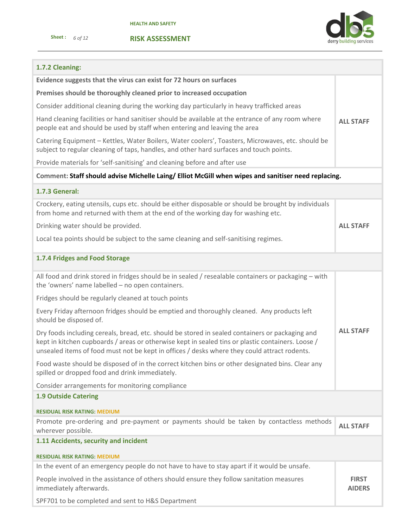



# **1.7.2 Cleaning:**

| Evidence suggests that the virus can exist for 72 hours on surfaces                                                                                                                                                                                                                                  |                               |
|------------------------------------------------------------------------------------------------------------------------------------------------------------------------------------------------------------------------------------------------------------------------------------------------------|-------------------------------|
| Premises should be thoroughly cleaned prior to increased occupation                                                                                                                                                                                                                                  |                               |
| Consider additional cleaning during the working day particularly in heavy trafficked areas                                                                                                                                                                                                           |                               |
| Hand cleaning facilities or hand sanitiser should be available at the entrance of any room where<br>people eat and should be used by staff when entering and leaving the area                                                                                                                        | <b>ALL STAFF</b>              |
| Catering Equipment - Kettles, Water Boilers, Water coolers', Toasters, Microwaves, etc. should be<br>subject to regular cleaning of taps, handles, and other hard surfaces and touch points.                                                                                                         |                               |
| Provide materials for 'self-sanitising' and cleaning before and after use                                                                                                                                                                                                                            |                               |
| Comment: Staff should advise Michelle Laing/ Elliot McGill when wipes and sanitiser need replacing.                                                                                                                                                                                                  |                               |
| 1.7.3 General:                                                                                                                                                                                                                                                                                       |                               |
| Crockery, eating utensils, cups etc. should be either disposable or should be brought by individuals<br>from home and returned with them at the end of the working day for washing etc.                                                                                                              |                               |
| Drinking water should be provided.                                                                                                                                                                                                                                                                   | <b>ALL STAFF</b>              |
| Local tea points should be subject to the same cleaning and self-sanitising regimes.                                                                                                                                                                                                                 |                               |
| 1.7.4 Fridges and Food Storage                                                                                                                                                                                                                                                                       |                               |
| All food and drink stored in fridges should be in sealed / resealable containers or packaging - with<br>the 'owners' name labelled - no open containers.                                                                                                                                             |                               |
| Fridges should be regularly cleaned at touch points                                                                                                                                                                                                                                                  |                               |
| Every Friday afternoon fridges should be emptied and thoroughly cleaned. Any products left<br>should be disposed of.                                                                                                                                                                                 |                               |
| Dry foods including cereals, bread, etc. should be stored in sealed containers or packaging and<br>kept in kitchen cupboards / areas or otherwise kept in sealed tins or plastic containers. Loose /<br>unsealed items of food must not be kept in offices / desks where they could attract rodents. | <b>ALL STAFF</b>              |
| Food waste should be disposed of in the correct kitchen bins or other designated bins. Clear any<br>spilled or dropped food and drink immediately.                                                                                                                                                   |                               |
| Consider arrangements for monitoring compliance                                                                                                                                                                                                                                                      |                               |
| <b>1.9 Outside Catering</b>                                                                                                                                                                                                                                                                          |                               |
| <b>RESIDUAL RISK RATING: MEDIUM</b>                                                                                                                                                                                                                                                                  |                               |
| Promote pre-ordering and pre-payment or payments should be taken by contactless methods<br>wherever possible.                                                                                                                                                                                        | <b>ALL STAFF</b>              |
| 1.11 Accidents, security and incident                                                                                                                                                                                                                                                                |                               |
| <b>RESIDUAL RISK RATING: MEDIUM</b>                                                                                                                                                                                                                                                                  |                               |
| In the event of an emergency people do not have to have to stay apart if it would be unsafe.                                                                                                                                                                                                         |                               |
| People involved in the assistance of others should ensure they follow sanitation measures<br>immediately afterwards.                                                                                                                                                                                 | <b>FIRST</b><br><b>AIDERS</b> |
| SPF701 to be completed and sent to H&S Department                                                                                                                                                                                                                                                    |                               |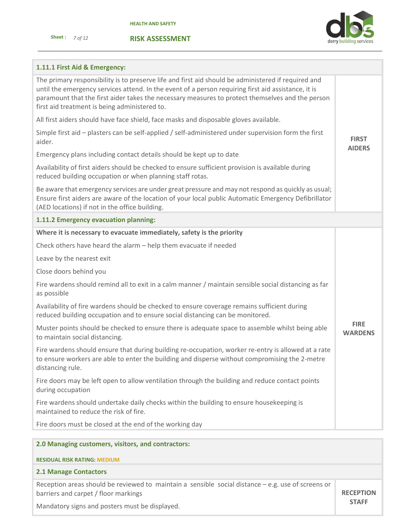



# **1.11.1 First Aid & Emergency:**

| The primary responsibility is to preserve life and first aid should be administered if required and<br>until the emergency services attend. In the event of a person requiring first aid assistance, it is<br>paramount that the first aider takes the necessary measures to protect themselves and the person<br>first aid treatment is being administered to. |                               |
|-----------------------------------------------------------------------------------------------------------------------------------------------------------------------------------------------------------------------------------------------------------------------------------------------------------------------------------------------------------------|-------------------------------|
| All first aiders should have face shield, face masks and disposable gloves available.                                                                                                                                                                                                                                                                           |                               |
| Simple first aid - plasters can be self-applied / self-administered under supervision form the first<br>aider.                                                                                                                                                                                                                                                  | <b>FIRST</b>                  |
| Emergency plans including contact details should be kept up to date                                                                                                                                                                                                                                                                                             | <b>AIDERS</b>                 |
| Availability of first aiders should be checked to ensure sufficient provision is available during<br>reduced building occupation or when planning staff rotas.                                                                                                                                                                                                  |                               |
| Be aware that emergency services are under great pressure and may not respond as quickly as usual;<br>Ensure first aiders are aware of the location of your local public Automatic Emergency Defibrillator<br>(AED locations) if not in the office building.                                                                                                    |                               |
| 1.11.2 Emergency evacuation planning:                                                                                                                                                                                                                                                                                                                           |                               |
| Where it is necessary to evacuate immediately, safety is the priority                                                                                                                                                                                                                                                                                           |                               |
| Check others have heard the alarm - help them evacuate if needed                                                                                                                                                                                                                                                                                                |                               |
| Leave by the nearest exit                                                                                                                                                                                                                                                                                                                                       |                               |
| Close doors behind you                                                                                                                                                                                                                                                                                                                                          |                               |
| Fire wardens should remind all to exit in a calm manner / maintain sensible social distancing as far<br>as possible                                                                                                                                                                                                                                             |                               |
| Availability of fire wardens should be checked to ensure coverage remains sufficient during<br>reduced building occupation and to ensure social distancing can be monitored.                                                                                                                                                                                    |                               |
| Muster points should be checked to ensure there is adequate space to assemble whilst being able<br>to maintain social distancing.                                                                                                                                                                                                                               | <b>FIRE</b><br><b>WARDENS</b> |
| Fire wardens should ensure that during building re-occupation, worker re-entry is allowed at a rate<br>to ensure workers are able to enter the building and disperse without compromising the 2-metre<br>distancing rule.                                                                                                                                       |                               |
| Fire doors may be left open to allow ventilation through the building and reduce contact points<br>during occupation                                                                                                                                                                                                                                            |                               |
| Fire wardens should undertake daily checks within the building to ensure housekeeping is<br>maintained to reduce the risk of fire.                                                                                                                                                                                                                              |                               |
| Fire doors must be closed at the end of the working day                                                                                                                                                                                                                                                                                                         |                               |
|                                                                                                                                                                                                                                                                                                                                                                 |                               |

| 2.0 Managing customers, visitors, and contractors:                                                                                          |                  |
|---------------------------------------------------------------------------------------------------------------------------------------------|------------------|
| <b>RESIDUAL RISK RATING: MEDIUM</b>                                                                                                         |                  |
| <b>2.1 Manage Contactors</b>                                                                                                                |                  |
| Reception areas should be reviewed to maintain a sensible social distance $-e.g.$ use of screens or<br>barriers and carpet / floor markings | <b>RECEPTION</b> |
| Mandatory signs and posters must be displayed.                                                                                              | <b>STAFF</b>     |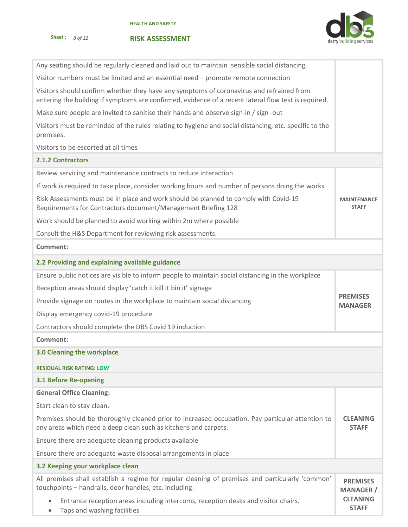

| Any seating should be regularly cleaned and laid out to maintain sensible social distancing.                                                                                                     |                                     |  |  |  |  |
|--------------------------------------------------------------------------------------------------------------------------------------------------------------------------------------------------|-------------------------------------|--|--|--|--|
| Visitor numbers must be limited and an essential need - promote remote connection                                                                                                                |                                     |  |  |  |  |
| Visitors should confirm whether they have any symptoms of coronavirus and refrained from<br>entering the building if symptoms are confirmed, evidence of a recent lateral flow test is required. |                                     |  |  |  |  |
| Make sure people are invited to sanitise their hands and observe sign-in / sign -out                                                                                                             |                                     |  |  |  |  |
| Visitors must be reminded of the rules relating to hygiene and social distancing, etc. specific to the<br>premises.                                                                              |                                     |  |  |  |  |
| Visitors to be escorted at all times                                                                                                                                                             |                                     |  |  |  |  |
| <b>2.1.2 Contractors</b>                                                                                                                                                                         |                                     |  |  |  |  |
| Review servicing and maintenance contracts to reduce interaction                                                                                                                                 |                                     |  |  |  |  |
| If work is required to take place, consider working hours and number of persons doing the works                                                                                                  |                                     |  |  |  |  |
| Risk Assessments must be in place and work should be planned to comply with Covid-19<br>Requirements for Contractors document/Management Briefing 128                                            | <b>MAINTENANCE</b><br><b>STAFF</b>  |  |  |  |  |
| Work should be planned to avoid working within 2m where possible                                                                                                                                 |                                     |  |  |  |  |
| Consult the H&S Department for reviewing risk assessments.                                                                                                                                       |                                     |  |  |  |  |
| Comment:                                                                                                                                                                                         |                                     |  |  |  |  |
| 2.2 Providing and explaining available guidance                                                                                                                                                  |                                     |  |  |  |  |
| Ensure public notices are visible to inform people to maintain social distancing in the workplace                                                                                                |                                     |  |  |  |  |
| Reception areas should display 'catch it kill it bin it' signage                                                                                                                                 |                                     |  |  |  |  |
| Provide signage on routes in the workplace to maintain social distancing                                                                                                                         | <b>PREMISES</b><br><b>MANAGER</b>   |  |  |  |  |
| Display emergency covid-19 procedure                                                                                                                                                             |                                     |  |  |  |  |
| Contractors should complete the DBS Covid 19 induction                                                                                                                                           |                                     |  |  |  |  |
| Comment:                                                                                                                                                                                         |                                     |  |  |  |  |
| 3.0 Cleaning the workplace                                                                                                                                                                       |                                     |  |  |  |  |
| <b>RESIDUAL RISK RATING: LOW</b>                                                                                                                                                                 |                                     |  |  |  |  |
| <b>3.1 Before Re-opening</b>                                                                                                                                                                     |                                     |  |  |  |  |
| <b>General Office Cleaning:</b>                                                                                                                                                                  |                                     |  |  |  |  |
| Start clean to stay clean.                                                                                                                                                                       |                                     |  |  |  |  |
| Premises should be thoroughly cleaned prior to increased occupation. Pay particular attention to<br>any areas which need a deep clean such as kitchens and carpets.                              | <b>CLEANING</b><br><b>STAFF</b>     |  |  |  |  |
| Ensure there are adequate cleaning products available                                                                                                                                            |                                     |  |  |  |  |
| Ensure there are adequate waste disposal arrangements in place                                                                                                                                   |                                     |  |  |  |  |
| 3.2 Keeping your workplace clean                                                                                                                                                                 |                                     |  |  |  |  |
| All premises shall establish a regime for regular cleaning of premises and particularly 'common'<br>touchpoints - handrails, door handles, etc. including:                                       | <b>PREMISES</b><br><b>MANAGER</b> / |  |  |  |  |
| Entrance reception areas including intercoms, reception desks and visitor chairs.<br>Taps and washing facilities                                                                                 | <b>CLEANING</b><br><b>STAFF</b>     |  |  |  |  |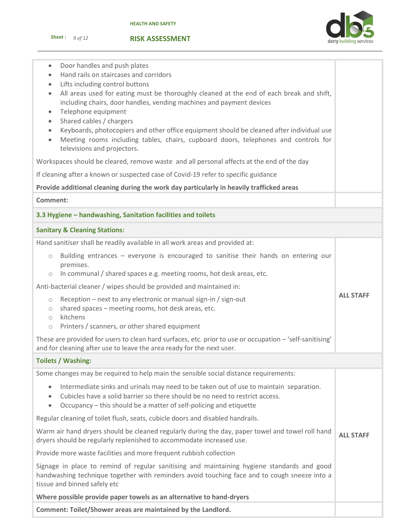

## **RISK ASSESSMENT**

| Door handles and push plates<br>$\bullet$<br>Hand rails on staircases and corridors<br>Lifts including control buttons<br>$\bullet$<br>All areas used for eating must be thoroughly cleaned at the end of each break and shift,<br>$\bullet$<br>including chairs, door handles, vending machines and payment devices<br>Telephone equipment<br>$\bullet$<br>Shared cables / chargers<br>$\bullet$<br>Keyboards, photocopiers and other office equipment should be cleaned after individual use<br>$\bullet$<br>Meeting rooms including tables, chairs, cupboard doors, telephones and controls for<br>$\bullet$<br>televisions and projectors. |                  |  |  |  |
|------------------------------------------------------------------------------------------------------------------------------------------------------------------------------------------------------------------------------------------------------------------------------------------------------------------------------------------------------------------------------------------------------------------------------------------------------------------------------------------------------------------------------------------------------------------------------------------------------------------------------------------------|------------------|--|--|--|
| Workspaces should be cleared, remove waste and all personal affects at the end of the day                                                                                                                                                                                                                                                                                                                                                                                                                                                                                                                                                      |                  |  |  |  |
| If cleaning after a known or suspected case of Covid-19 refer to specific guidance                                                                                                                                                                                                                                                                                                                                                                                                                                                                                                                                                             |                  |  |  |  |
| Provide additional cleaning during the work day particularly in heavily trafficked areas                                                                                                                                                                                                                                                                                                                                                                                                                                                                                                                                                       |                  |  |  |  |
| <b>Comment:</b>                                                                                                                                                                                                                                                                                                                                                                                                                                                                                                                                                                                                                                |                  |  |  |  |
| 3.3 Hygiene - handwashing, Sanitation facilities and toilets                                                                                                                                                                                                                                                                                                                                                                                                                                                                                                                                                                                   |                  |  |  |  |
| <b>Sanitary &amp; Cleaning Stations:</b>                                                                                                                                                                                                                                                                                                                                                                                                                                                                                                                                                                                                       |                  |  |  |  |
| Hand sanitiser shall be readily available in all work areas and provided at:                                                                                                                                                                                                                                                                                                                                                                                                                                                                                                                                                                   |                  |  |  |  |
| Building entrances – everyone is encouraged to sanitise their hands on entering our<br>$\circ$<br>premises.<br>In communal / shared spaces e.g. meeting rooms, hot desk areas, etc.<br>$\bigcirc$                                                                                                                                                                                                                                                                                                                                                                                                                                              |                  |  |  |  |
| Anti-bacterial cleaner / wipes should be provided and maintained in:                                                                                                                                                                                                                                                                                                                                                                                                                                                                                                                                                                           |                  |  |  |  |
| Reception - next to any electronic or manual sign-in / sign-out<br>$\bigcirc$<br>shared spaces - meeting rooms, hot desk areas, etc.<br>$\circ$<br>kitchens<br>$\circ$                                                                                                                                                                                                                                                                                                                                                                                                                                                                         | <b>ALL STAFF</b> |  |  |  |
| Printers / scanners, or other shared equipment<br>$\circ$                                                                                                                                                                                                                                                                                                                                                                                                                                                                                                                                                                                      |                  |  |  |  |
| These are provided for users to clean hard surfaces, etc. prior to use or occupation - 'self-sanitising'<br>and for cleaning after use to leave the area ready for the next user.                                                                                                                                                                                                                                                                                                                                                                                                                                                              |                  |  |  |  |
| <b>Toilets / Washing:</b>                                                                                                                                                                                                                                                                                                                                                                                                                                                                                                                                                                                                                      |                  |  |  |  |
| Some changes may be required to help main the sensible social distance requirements:                                                                                                                                                                                                                                                                                                                                                                                                                                                                                                                                                           |                  |  |  |  |
| Intermediate sinks and urinals may need to be taken out of use to maintain separation.<br>$\bullet$<br>Cubicles have a solid barrier so there should be no need to restrict access.<br>$\bullet$<br>Occupancy - this should be a matter of self-policing and etiquette<br>$\bullet$                                                                                                                                                                                                                                                                                                                                                            |                  |  |  |  |
| Regular cleaning of toilet flush, seats, cubicle doors and disabled handrails.                                                                                                                                                                                                                                                                                                                                                                                                                                                                                                                                                                 |                  |  |  |  |
| Warm air hand dryers should be cleaned regularly during the day, paper towel and towel roll hand<br>dryers should be regularly replenished to accommodate increased use.                                                                                                                                                                                                                                                                                                                                                                                                                                                                       |                  |  |  |  |
| Provide more waste facilities and more frequent rubbish collection                                                                                                                                                                                                                                                                                                                                                                                                                                                                                                                                                                             |                  |  |  |  |
| Signage in place to remind of regular sanitising and maintaining hygiene standards and good<br>handwashing technique together with reminders avoid touching face and to cough sneeze into a<br>tissue and binned safely etc                                                                                                                                                                                                                                                                                                                                                                                                                    |                  |  |  |  |
| Where possible provide paper towels as an alternative to hand-dryers                                                                                                                                                                                                                                                                                                                                                                                                                                                                                                                                                                           |                  |  |  |  |

**Comment: Toilet/Shower areas are maintained by the Landlord.**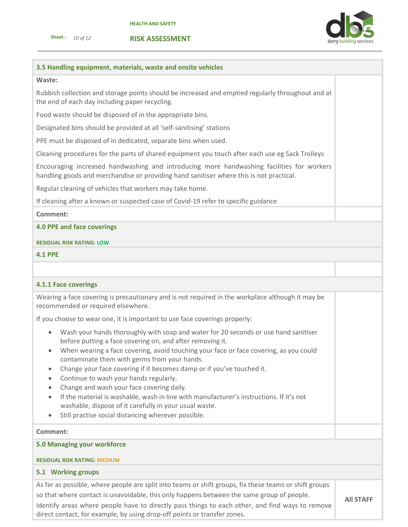direct contact, for example, by using drop-off points or transfer zones.

**Sheet :** *10 of 12* 





# **3.5 Handling equipment, materials, waste and onsite vehicles Waste:** Rubbish collection and storage points should be increased and emptied regularly throughout and at the end of each day including paper recycling. Food waste should be disposed of in the appropriate bins. Designated bins should be provided at all 'self-sanitising' stations PPE must be disposed of in dedicated, separate bins when used. Cleaning procedures for the parts of shared equipment you touch after each use eg Sack Trolleys Encouraging increased handwashing and introducing more handwashing facilities for workers handling goods and merchandise or providing hand sanitiser where this is not practical. Regular cleaning of vehicles that workers may take home. If cleaning after a known or suspected case of Covid-19 refer to specific guidance **Comment: 4.0 PPE and face coverings RESIDUAL RISK RATING: LOW 4.1 PPE 4.1.1 Face coverings** Wearing a face covering is precautionary and is not required in the workplace although it may be recommended or required elsewhere. If you choose to wear one, it is important to use face coverings properly: • Wash your hands thoroughly with soap and water for 20 seconds or use hand sanitiser before putting a face covering on, and after removing it. • When wearing a face covering, avoid touching your face or face covering, as you could contaminate them with germs from your hands. • Change your face covering if it becomes damp or if you've touched it. • Continue to wash your hands regularly. • Change and wash your face covering daily. • If the material is washable, wash in line with manufacturer's instructions. If it's not washable, dispose of it carefully in your usual waste. • Still practise social distancing wherever possible. **Comment: 5.0 Managing your workforce RESIDUAL RISK RATING: MEDIUM 5.1 Working groups** As far as possible, where people are split into teams or shift groups, fix these teams or shift groups so that where contact is unavoidable, this only happens between the same group of people. Identify areas where people have to directly pass things to each other, and find ways to remove **All STAFF**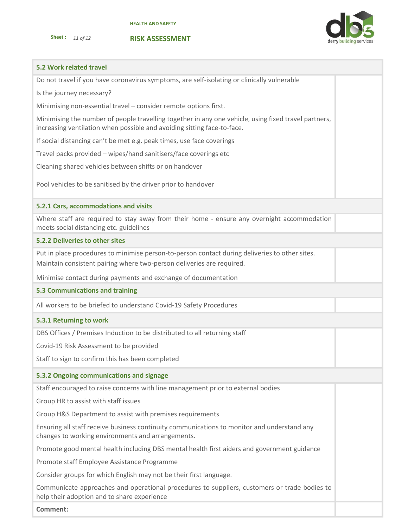**RISK ASSESSMENT**



## **5.2 Work related travel**

| Do not travel if you have coronavirus symptoms, are self-isolating or clinically vulnerable |  |  |  |  |
|---------------------------------------------------------------------------------------------|--|--|--|--|
|---------------------------------------------------------------------------------------------|--|--|--|--|

Is the journey necessary?

Minimising non-essential travel – consider remote options first.

Minimising the number of people travelling together in any one vehicle, using fixed travel partners, increasing ventilation when possible and avoiding sitting face-to-face.

If social distancing can't be met e.g. peak times, use face coverings

Travel packs provided – wipes/hand sanitisers/face coverings etc

Cleaning shared vehicles between shifts or on handover

Pool vehicles to be sanitised by the driver prior to handover

## **5.2.1 Cars, accommodations and visits**

Where staff are required to stay away from their home - ensure any overnight accommodation meets social distancing etc. guidelines

## **5.2.2 Deliveries to other sites**

Put in place procedures to minimise person-to-person contact during deliveries to other sites. Maintain consistent pairing where two-person deliveries are required.

Minimise contact during payments and exchange of documentation

## **5.3 Communications and training**

All workers to be briefed to understand Covid-19 Safety Procedures

### **5.3.1 Returning to work**

DBS Offices / Premises Induction to be distributed to all returning staff

Covid-19 Risk Assessment to be provided

Staff to sign to confirm this has been completed

# **5.3.2 Ongoing communications and signage**

Staff encouraged to raise concerns with line management prior to external bodies

Group HR to assist with staff issues

Group H&S Department to assist with premises requirements

Ensuring all staff receive business continuity communications to monitor and understand any changes to working environments and arrangements.

Promote good mental health including DBS mental health first aiders and government guidance

Promote staff Employee Assistance Programme

Consider groups for which English may not be their first language.

Communicate approaches and operational procedures to suppliers, customers or trade bodies to help their adoption and to share experience

**Comment:**